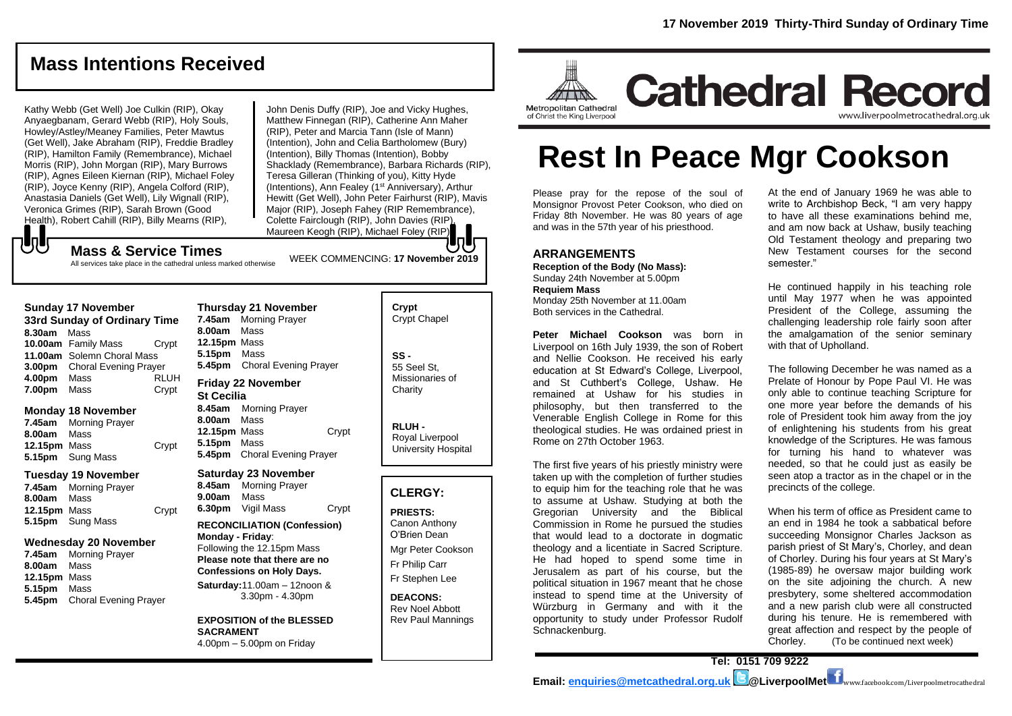## **Mass Intentions Received**

Kathy Webb (Get Well) Joe Culkin (RIP), Okay Anyaegbanam, Gerard Webb (RIP), Holy Souls, Howley/Astley/Meaney Families, Peter Mawtus (Get Well), Jake Abraham (RIP), Freddie Bradley (RIP), Hamilton Family (Remembrance), Michael Morris (RIP), John Morgan (RIP), Mary Burrows (RIP), Agnes Eileen Kiernan (RIP), Michael Foley (RIP), Joyce Kenny (RIP), Angela Colford (RIP), Anastasia Daniels (Get Well), Lily Wignall (RIP), Veronica Grimes (RIP), Sarah Brown (Good Health), Robert Cahill (RIP), Billy Mearns (RIP),

John Denis Duffy (RIP), Joe and Vicky Hughes, Matthew Finnegan (RIP), Catherine Ann Maher (RIP), Peter and Marcia Tann (Isle of Mann) (Intention), John and Celia Bartholomew (Bury) (Intention), Billy Thomas (Intention), Bobby Shacklady (Remembrance), Barbara Richards (RIP), Teresa Gilleran (Thinking of you), Kitty Hyde (Intentions), Ann Fealey (1<sup>st</sup> Anniversary), Arthur Hewitt (Get Well), John Peter Fairhurst (RIP), Mavis Major (RIP), Joseph Fahey (RIP Remembrance), Colette Fairclough (RIP), John Davies (RIP), Maureen Keogh (RIP), Michael Foley (RIP).

WEEK COMMENCING: **17 November 2019**

もし **Mass & Service Times**

All services take place in the cathedral unless marked otherwise

#### **Sunday 17 November**

**33rd Sunday of Ordinary Time 8.30am** Mass **10.00am** Family Mass Crypt **11.00am** Solemn Choral Mass **3.00pm** Choral Evening Prayer **4.00pm** Mass RLUH **7.00pm** Mass Crypt

#### **Monday 18 November**

**7.45am** Morning Prayer **8.00am** Mass **12.15pm** Mass Crypt **5.15pm** Sung Mass

#### **Tuesday 19 November**

**7.45am** Morning Prayer **8.00am** Mass **12.15pm** Mass Crypt **5.15pm** Sung Mass

#### **Wednesday 20 November**

**7.45am** Morning Prayer **8.00am** Mass **12.15pm** Mass **5.15pm** Mass **5.45pm** Choral Evening Prayer

**Thursday 21 November 7.45am** Morning Prayer **8.00am** Mass **12.15pm** Mass **5.15pm** Mass **5.45pm** Choral Evening Prayer **Friday 22 November St Cecilia**

**8.45am** Morning Prayer **8.00am** Mass 12.15pm Mass Crypt **5.15pm** Mass **5.45pm** Choral Evening Prayer

#### **Saturday 23 November**

**8.45am** Morning Prayer **9.00am** Mass **6.30pm** Vigil Mass Crypt

#### **RECONCILIATION (Confession) Monday - Friday**: Following the 12.15pm Mass

**Please note that there are no Confessions on Holy Days. Saturday:**11.00am – 12noon &

3.30pm - 4.30pm

**EXPOSITION of the BLESSED SACRAMENT** 4.00pm – 5.00pm on Friday

**Crypt**  Crypt Chapel **SS -** 55 Seel St, Missionaries of **Charity** 

**RLUH -** Royal Liverpool University Hospital

#### **CLERGY:**

**PRIESTS:** Canon Anthony O'Brien *Dean*

Mgr Peter Cookson Fr Philip Carr Fr Stephen Lee

**DEACONS:** Rev Noel Abbott Rev Paul Mannings



## **Cathedral Record** www.liverpoolmetrocathedral.org.uk

of Christ the King Liverpool

# **Rest In Peace Mgr Cookson**

Please pray for the repose of the soul of Monsignor Provost Peter Cookson, who died on Friday 8th November. He was 80 years of age and was in the 57th year of his priesthood.

#### **ARRANGEMENTS**

**Reception of the Body (No Mass):**  Sunday 24th November at 5.00pm **Requiem Mass** Monday 25th November at 11.00am Both services in the Cathedral.

**Peter Michael Cookson** was born in Liverpool on 16th July 1939, the son of Robert and Nellie Cookson. He received his early education at St Edward's College, Liverpool, and St Cuthbert's College, Ushaw. He remained at Ushaw for his studies in philosophy, but then transferred to the Venerable English College in Rome for this theological studies. He was ordained priest in Rome on 27th October 1963.

The first five years of his priestly ministry were taken up with the completion of further studies to equip him for the teaching role that he was to assume at Ushaw. Studying at both the Gregorian University and the Biblical Commission in Rome he pursued the studies that would lead to a doctorate in dogmatic theology and a licentiate in Sacred Scripture. He had hoped to spend some time in Jerusalem as part of his course, but the political situation in 1967 meant that he chose instead to spend time at the University of Würzburg in Germany and with it the opportunity to study under Professor Rudolf Schnackenburg.

At the end of January 1969 he was able to write to Archbishop Beck, "I am very happy to have all these examinations behind me, and am now back at Ushaw, busily teaching Old Testament theology and preparing two New Testament courses for the second semester."

He continued happily in his teaching role until May 1977 when he was appointed President of the College, assuming the challenging leadership role fairly soon after the amalgamation of the senior seminary with that of Upholland.

The following December he was named as a Prelate of Honour by Pope Paul VI. He was only able to continue teaching Scripture for one more year before the demands of his role of President took him away from the joy of enlightening his students from his great knowledge of the Scriptures. He was famous for turning his hand to whatever was needed, so that he could just as easily be seen atop a tractor as in the chapel or in the precincts of the college.

When his term of office as President came to an end in 1984 he took a sabbatical before succeeding Monsignor Charles Jackson as parish priest of St Mary's, Chorley, and dean of Chorley. During his four years at St Mary's (1985-89) he oversaw major building work on the site adjoining the church. A new presbytery, some sheltered accommodation and a new parish club were all constructed during his tenure. He is remembered with great affection and respect by the people of Chorley. (*To be continued next week*)

**Tel: 0151 709 9222**